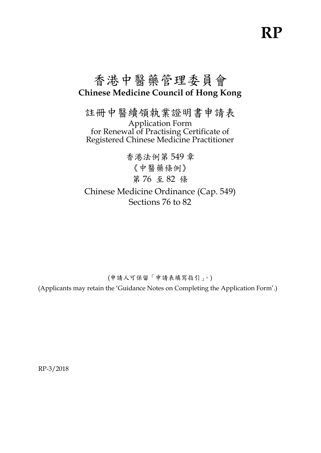# **RP**

# 香港中醫藥管理委員會 **Chinese Medicine Council of Hong Kong**

註冊中醫續領執業證明書申請表 Application Form for Renewal of Practising Certificate of Registered Chinese Medicine Practitioner

香港法例第 549 章 《中醫藥條例》 第 76 至 82 條 Chinese Medicine Ordinance (Cap. 549) Sections 76 to 82

(申請人可保留「申請表填寫指引」。)

(Applicants may retain the 'Guidance Notes on Completing the Application Form'.)

RP-3/2018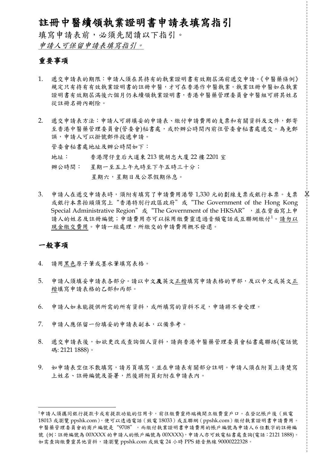# 註冊中醫續領執業證明書申請表填寫指引

填寫申請表前,必須先閱讀以下指引。 申請人可保留申請表填寫指引。

#### 重要事項

- 1. 遞交申請表的期限:申請人須在其持有的執業證明書有效期屆滿前遞交申請。《中醫藥條例》 規定只有持有有效執業證明書的註冊中醫,才可在香港作中醫執業。執業註冊中醫如在執業 證明書有效期屆滿後六個月仍未續領執業證明書,香港中醫藥管理委員會中醫組可將其姓名 從註冊名冊內刪除。
- 2. 遞交申請表方法:申請人可將填妥的申請表、繳付申請費用的支票和有關資料及文件,郵寄 至香港中醫藥管理委員會(管委會)秘書處,或於辦公時間內前往管委會秘書處遞交。為免郵 誤,申請人可以掛號郵件投遞申請。 管委會秘書處地址及辦公時間如下: 地址: 香港灣仔皇后大道東 213 號胡忠大廈 22 樓 2201 室 辦公時間: 星期一至五上午九時至下午五時三十分;

星期六,星期日及公眾假期休息。

3. 申請人在遞交申請表時,須附有填寫了申請費用港幣 1,330 元的劃線支票或銀行本票。支票 或銀行本票抬頭須寫上"香港特別行政區政府"或"The Government of the Hong Kong Special Administrative Region" 或 "The Government of the HKSAR", 述在背面寫上申 請人的姓名及註冊編號;申請費用亦可以採用繳費靈透過音頻電話或互聯網繳付1。請勿以 現金繳交費用。申請一經處理,所繳交的申請費用概不發還。

Χ

#### 一般事項

 $\overline{a}$ 

- 4. 請用黑色原子筆或墨水筆填寫表格。
- 5. 申請人須填妥申請表各部分。請以中文及英文正楷填寫申請表格的甲部,及以中文或英文正 楷填寫申請表格的乙部和丙部。
- 6. 申請人如未能提供所需的所有資料,或所填寫的資料不足,申請將不會受理。
- 7. 申請人應保留一份填妥的申請表副本,以備參考。
- 8. 遞交申請表後,如欲更改或查詢個人資料,請與香港中醫藥管理委員會秘書處聯絡(電話號 碼: 2121 1888)。
- 9. 如申請表空位不敷填寫,請另頁填寫,並在申請表有關部分註明。申請人須在附頁上清楚寫 上姓名、註冊編號及簽署,然後將附頁釘附在申請表內。

<sup>1</sup>申請人須攜同銀行提款卡或有提款功能的信用卡,前往繳費靈終端機開立繳費靈戶口。在登記帳戶後(致電 18013 或瀏覽 ppshk.com), 便可以透過電話 (致電 18033) 或互聯網 (ppshk.com) 繳付執業證明書申請費用。 中醫藥管理委員會的商戶編號是"9708",而繳付執業證明書申請費用的帳戶編號為申請人 6 位數字的註冊編 號 (例:註冊編號為 00XXXX 的申請人的帳戶編號為 00XXXX),申請人亦可致電秘書處查詢(電話: 2121 1888)。 如需查詢繳費靈其他資料,請瀏覽 ppshk.com 或致電 24 小時 PPS 錄音熱線 90000222328。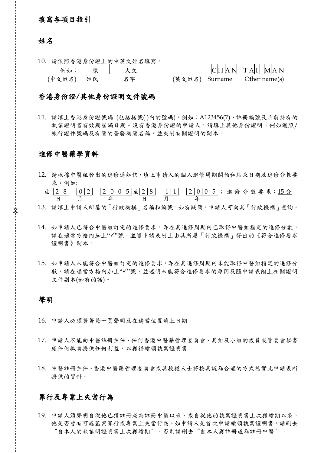#### 填寫各項目指引

#### 姓名

10. 請依照香港身份證上的中英文姓名填寫。 例如: 陳 大文 C H A N T A I M A N (中文姓名) 姓氏 名字 (英文姓名) Surname Other name(s)

#### 香港身份證/其他身份證明文件號碼

11. 請填上香港身份證號碼 (包括括號( )內的號碼),例如:A123456(7)、註冊編號及目前持有的 執業證明書有效期屆滿日期。沒有香港身份證的申請人,請填上其他身份證明,例如護照/ 旅行證件號碼及有關的簽發機關名稱,並夾附有關證明的副本。

#### 進修中醫藥學資料

- 12. 請根據中醫組發出的進修通知信,填上申請人的個人進修周期開始和結束日期及進修分數要 求。例如:
	- 由 2 8 | 0 2 | 2 0 0 5 五 2 8 | 1 1 | 2 0 0 5 ; 進 修 分 數 要 求:15 分 日 月 年 日 月 年
- 13. 請填上申請人所屬的「行政機構」名稱和編號。如有疑問,申請人可向其「行政機構」查詢。
- 14. 如申請人已符合中醫組訂定的進修要求,即在其進修周期內已取得中醫組指定的進修分數, 請在適當方格內加上"√"號,並隨申請表附上由其所屬「行政機構」發出的《符合進修要求 證明書》副本。
- 15. 如申請人未能符合中醫組訂定的進修要求,即在其進修周期內未能取得中醫組指定的進修分 數,請在適當方格內加上"√"號,並述明未能符合進修要求的原因及隨申請表附上相關證明 文件副本(如有的話)。

#### 聲明

X

- 16. 申請人必須簽署每一頁聲明及在適當位置填上日期。
- 17. 申請人不能向中醫註冊主任、任何香港中醫藥管理委員會、其組及小組的成員或管委會秘書 處任何職員提供任何利益,以獲得續領執業證明書。
- 18. 中醫註冊主任、香港中醫藥管理委員會或其授權人士將按其認為合適的方式核實此申請表所 提供的資料。

#### 罪行及專業上失當行為

19. 申請人須聲明自從他已獲註冊成為註冊中醫以來,或自從他的執業證明書上次獲續期以來, 他是否曾有可處監禁罪行或專業上失當行為。如申請人是首次申請續領執業證明書,請刪去 "自本人的執業明證明書上次獲續期",否則請刪去"自本人獲註冊成為註冊中醫"。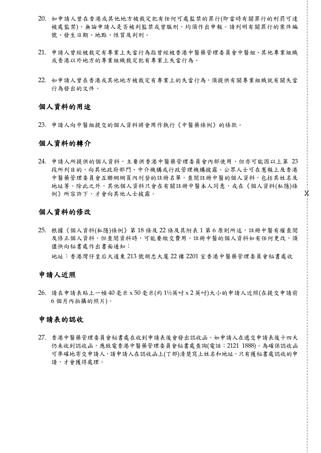- 20. 如申請人曾在香港或其他地方被裁定犯有任何可處監禁的罪行(即當時有關罪行的刑罰可達 被處監禁),無論申請人是否被判監禁或曾服刑,均須作出申報。請列明有關罪行的案件編 號、發生日期、地點、性質及判刑。
- 21. 申請人曾經被裁定有專業上失當行為指曾經被香港中醫藥管理委員會中醫組、其他專業組織 或香港以外地方的專業組織裁定犯有專業上失當行為。
- 22. 如申請人曾在香港或其他地方被裁定有專業上的失當行為,須提供有關專業組織就有關失當 行為發出的文件。

#### 個人資料的用途

23. 申請人向中醫組提交的個人資料將會用作執行《中醫藥條例》的條款。

#### 個人資料的轉介

24. 申請人所提供的個人資料,主要供香港中醫藥管理委員會內部使用,但亦可能因以上第 23 段所列目的,向其他政府部門、中介機構或行政管理機構披露。公眾人士可在憲報上及香港 中醫藥管理委員會互聯網網頁內刊登的註冊名單,查閱註冊中醫的個人資料,包括其姓名及 地址等。除此之外,其他個人資料只會在有關註冊中醫本人同意,或在《個人資料(私隱)條 例》所容許下,才會向其他人士披露。

Х

#### 個人資料的修改

25. 根據《個人資料(私隱)條例》第18條及22條及其附表1第6原則所述,註冊中醫有權查閱 及修正個人資料,但查閱資料時,可能要繳交費用。註冊中醫的個人資料如有任何更改,須 儘快向秘書處作出書面通知: 地址:香港灣仔皇后大道東 213 號胡忠大廈 22 樓 2201 室香港中醫藥管理委員會秘書處收

#### 申請人近照

26. 請在申請表貼上一幀 40 毫米 x 50 毫米(約 1½ 英吋 x 2 英吋)大小的申請人近照(在提交申請前 6 個月內拍攝的照片)。

#### 申請表的認收

27. 香港中醫藥管理委員會秘書處在收到申請表後會發出認收函。如申請人在遞交申請表後十四天 仍未收到認收函,應致電香港中醫藥管理委員會秘書處查詢(電話:2121 1888)。為確保認收函 可準確地寄交申請人,請申請人在認收函上(丁部)清楚寫上姓名和地址。只有獲秘書處認收的申 請,才會獲得處理。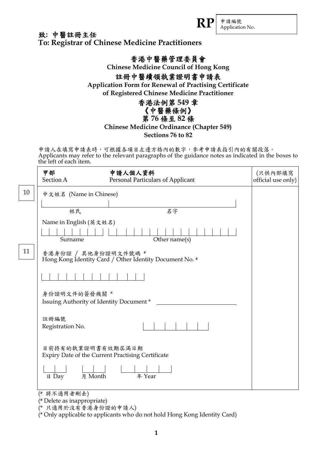申請編號 **RP** Application No.

### 致**:** 中醫註冊主任 **To: Registrar of Chinese Medicine Practitioners**

# 香港中醫藥管理委員會

**Chinese Medicine Council of Hong Kong**

# 註冊中醫續領執業證明書申請表

**Application Form for Renewal of Practising Certificate of Registered Chinese Medicine Practitioner** 

# 香港法例第 **549** 章 《中醫藥條例》

第 **76** 條至 **82** 條

## **Chinese Medicine Ordinance (Chapter 549)**

**Sections 76 to 82**

申請人在填寫申請表時,可根據各項目左邊方格內的數字,參考申請表指引內的有關段落。 Applicants may refer to the relevant paragraphs of the guidance notes as indicated in the boxes to the left of each item.

|    | 甲部<br>Section A                                          | 申請人個人資料<br>Personal Particulars of Applicant            | (只供內部填寫<br>official use only) |
|----|----------------------------------------------------------|---------------------------------------------------------|-------------------------------|
| 10 | 中文姓名 (Name in Chinese)                                   |                                                         |                               |
|    | 姓氏                                                       | 名字                                                      |                               |
|    | Name in English (英文姓名)                                   |                                                         |                               |
|    | Surname                                                  | Other name(s)                                           |                               |
| 11 | 香港身份證 / 其他身份證明文件號碼 #                                     | Hong Kong Identity Card / Other Identity Document No. # |                               |
|    |                                                          |                                                         |                               |
|    | 身份證明文件的簽發機關 *<br>Issuing Authority of Identity Document* |                                                         |                               |
|    | 註冊編號<br>Registration No.                                 |                                                         |                               |
|    | 目前持有的執業證明書有效期屆滿日期                                        | Expiry Date of the Current Practising Certificate       |                               |
|    | 月 Month<br>$\boxminus$ Day                               | 年 Year                                                  |                               |
|    | (# 將不適用者刪去)                                              |                                                         |                               |

2 円 泊 刑 石丿 ( # Delete as inappropriate)

(\* 只適用於沒有香港身份證的申請人)

(\* Only applicable to applicants who do not hold Hong Kong Identity Card)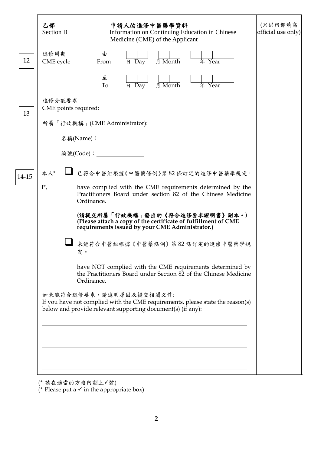|       | 乙部<br><b>Section B</b> | 申請人的進修中醫藥學資料<br>Information on Continuing Education in Chinese<br>Medicine (CME) of the Applicant                                                                        | (只供內部填寫<br>official use only) |
|-------|------------------------|--------------------------------------------------------------------------------------------------------------------------------------------------------------------------|-------------------------------|
| 12    | 進修周期<br>CME cycle      | 由<br>日 Day 月 Month<br>年 Year<br>From                                                                                                                                     |                               |
|       |                        | 至<br>月 Month<br>年 Year<br>To<br>$\overline{H}$ Day                                                                                                                       |                               |
| 13    | 進修分數要求                 | CME points required:                                                                                                                                                     |                               |
|       |                        | 所屬「行政機構」(CME Administrator):                                                                                                                                             |                               |
|       |                        |                                                                                                                                                                          |                               |
|       |                        | 編號(Code): _______________                                                                                                                                                |                               |
| 14-15 | 本人*                    | ■ 已符合中醫組根據《中醫藥條例》第82條訂定的進修中醫藥學規定。                                                                                                                                        |                               |
|       | $I^*$ ,                | have complied with the CME requirements determined by the<br>Practitioners Board under section 82 of the Chinese Medicine<br>Ordinance.                                  |                               |
|       |                        | (請提交所屬「行政機構」發出的《符合進修要求證明書》副本。)<br>(Please attach a copy of the certificate of fulfillment of CME<br>requirements issued by your CME Administrator.)                      |                               |
|       |                        | 未能符合中醫組根據《中醫藥條例》第82條訂定的進修中醫藥學規<br>定。                                                                                                                                     |                               |
|       |                        | have NOT complied with the CME requirements determined by<br>the Practitioners Board under Section 82 of the Chinese Medicine<br>Ordinance.                              |                               |
|       |                        | 如未能符合進修要求,請述明原因及提交相關文件:<br>If you have not complied with the CME requirements, please state the reason(s)<br>below and provide relevant supporting document(s) (if any): |                               |
|       |                        |                                                                                                                                                                          |                               |
|       |                        |                                                                                                                                                                          |                               |
|       |                        |                                                                                                                                                                          |                               |
|       |                        |                                                                                                                                                                          |                               |

(\* 請在適當的方格內劃上√號)

(\* Please put a  $\checkmark$  in the appropriate box)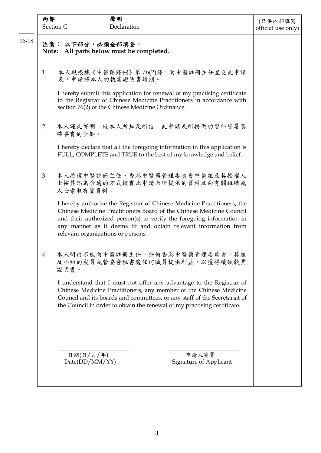| 本人現根據《中醫藥條例》第76(2)條,向中醫註冊主任呈交此申請<br>I hereby submit this application for renewal of my practising certificate<br>to the Registrar of Chinese Medicine Practitioners in accordance with<br>本人謹此聲明,就本人所知及所信,此申請表所提供的資料皆屬真<br>I hereby declare that all the foregoing information in this application is<br>FULL, COMPLETE and TRUE to the best of my knowledge and belief. |
|--------------------------------------------------------------------------------------------------------------------------------------------------------------------------------------------------------------------------------------------------------------------------------------------------------------------------------------------------------------------------|
|                                                                                                                                                                                                                                                                                                                                                                          |
|                                                                                                                                                                                                                                                                                                                                                                          |
|                                                                                                                                                                                                                                                                                                                                                                          |
|                                                                                                                                                                                                                                                                                                                                                                          |
|                                                                                                                                                                                                                                                                                                                                                                          |
| 本人授權中醫註冊主任、香港中醫藥管理委員會中醫組及其授權人<br>士按其認為合適的方式核實此申請表所提供的資料及向有關組織或                                                                                                                                                                                                                                                                                                           |
| I hereby authorize the Registrar of Chinese Medicine Practitioners, the<br>Chinese Medicine Practitioners Board of the Chinese Medicine Council<br>and their authorized person(s) to verify the foregoing information in<br>any manner as it deems fit and obtain relevant information from                                                                              |
| 本人明白不能向中醫註冊主任、任何香港中醫藥管理委員會,其組<br>及小組的成員或管委會秘書處任何職員提供利益,以獲得續領執業                                                                                                                                                                                                                                                                                                           |
| I understand that I must not offer any advantage to the Registrar of<br>Chinese Medicine Practitioners, any member of the Chinese Medicine<br>Council and its boards and committees, or any staff of the Secretariat of<br>the Council in order to obtain the renewal of my practising certificate.                                                                      |
|                                                                                                                                                                                                                                                                                                                                                                          |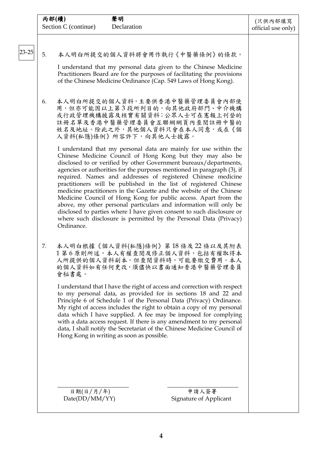|       | 聲明<br>丙部(續)<br>Section C (continue)<br>Declaration                                                                                                                                                                                                                                                                                                                                                                                                                                                                                                                                                                                                                                                                                                                                                                                                                                                                                                                                                    | (只供內部填寫<br>official use only) |
|-------|-------------------------------------------------------------------------------------------------------------------------------------------------------------------------------------------------------------------------------------------------------------------------------------------------------------------------------------------------------------------------------------------------------------------------------------------------------------------------------------------------------------------------------------------------------------------------------------------------------------------------------------------------------------------------------------------------------------------------------------------------------------------------------------------------------------------------------------------------------------------------------------------------------------------------------------------------------------------------------------------------------|-------------------------------|
| 23-25 | 5.<br>本人明白所提交的個人資料將會用作執行《中醫藥條例》的條款。<br>I understand that my personal data given to the Chinese Medicine<br>Practitioners Board are for the purposes of facilitating the provisions<br>of the Chinese Medicine Ordinance (Cap. 549 Laws of Hong Kong).                                                                                                                                                                                                                                                                                                                                                                                                                                                                                                                                                                                                                                                                                                                                                 |                               |
|       | 本人明白所提交的個人資料,主要供香港中醫藥管理委員會內部使<br>6.<br>用,但亦可能因以上第3段所列目的,向其他政府部門、中介機構<br>或行政管理機構披露及核實有關資料;公眾人士可在憲報上刊登的<br>註冊名單及香港中醫藥管理委員會互聯網網頁內查閱註冊中醫的<br>姓名及地址。除此之外,其他個人資料只會在本人同意,或在《個<br>人資料(私隱)條例》所容許下, 向其他人士披露。<br>I understand that my personal data are mainly for use within the<br>Chinese Medicine Council of Hong Kong but they may also be<br>disclosed to or verified by other Government bureaux/departments,<br>agencies or authorities for the purposes mentioned in paragraph (3), if<br>required. Names and addresses of registered Chinese medicine<br>practitioners will be published in the list of registered Chinese<br>medicine practitioners in the Gazette and the website of the Chinese<br>Medicine Council of Hong Kong for public access. Apart from the<br>above, my other personal particulars and information will only be<br>disclosed to parties where I have given consent to such disclosure or<br>where such disclosure is permitted by the Personal Data (Privacy)<br>Ordinance. |                               |
|       | 本人明白根據《個人資料(私隱)條例》第18條及22條以及其附表<br>7.<br>1 第6原則所述,本人有權查閱及修正個人資料,包括有權取得本<br>人所提供的個人資料副本。但查閱資料時,可能要繳交費用。本人<br>的個人資料如有任何更改,須儘快以書面通知香港中醫藥管理委員<br>會秘書處。<br>I understand that I have the right of access and correction with respect<br>to my personal data, as provided for in sections 18 and 22 and<br>Principle 6 of Schedule 1 of the Personal Data (Privacy) Ordinance.<br>My right of access includes the right to obtain a copy of my personal<br>data which I have supplied. A fee may be imposed for complying<br>with a data access request. If there is any amendment to my personal<br>data, I shall notify the Secretariat of the Chinese Medicine Council of<br>Hong Kong in writing as soon as possible.                                                                                                                                                                                                                                                                                    |                               |
|       | 申請人簽署<br>日期(日/月/年)<br>Date(DD/MM/YY)<br>Signature of Applicant                                                                                                                                                                                                                                                                                                                                                                                                                                                                                                                                                                                                                                                                                                                                                                                                                                                                                                                                        |                               |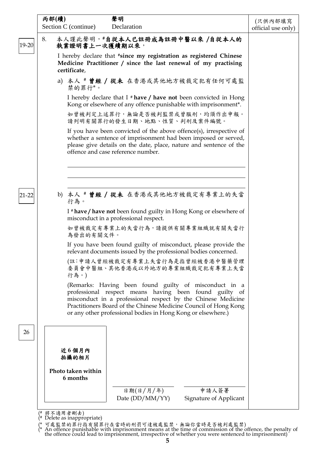| 丙部(續)                          | 聲明                                                                                                                                                                                                                                                                                                                  | (只供內部填寫            |
|--------------------------------|---------------------------------------------------------------------------------------------------------------------------------------------------------------------------------------------------------------------------------------------------------------------------------------------------------------------|--------------------|
| Section C (continue)           | Declaration                                                                                                                                                                                                                                                                                                         | official use only) |
| 8.<br>執業證明書上一次獲續期以來,           | 本人謹此聲明, #自從本人已註冊成為註冊中醫以來 /自從本人的                                                                                                                                                                                                                                                                                     |                    |
| certificate,                   | I hereby declare that #since my registration as registered Chinese<br>Medicine Practitioner / since the last renewal of my practising                                                                                                                                                                               |                    |
| 禁的罪行*。                         | a) 本人 # 曾經 / 從未 在香港或其他地方被裁定犯有任何可處監                                                                                                                                                                                                                                                                                  |                    |
|                                | I hereby declare that I $*$ have / have not been convicted in Hong<br>Kong or elsewhere of any offence punishable with imprisonment*.                                                                                                                                                                               |                    |
|                                | 如曾被判定上述罪行,無論是否被判監禁或曾服刑,均須作出申報。<br>請列明有關罪行的發生日期、地點、性質、判刑及案件編號。                                                                                                                                                                                                                                                       |                    |
|                                | If you have been convicted of the above offence(s), irrespective of<br>whether a sentence of imprisonment had been imposed or served,<br>please give details on the date, place, nature and sentence of the<br>offence and case reference number.                                                                   |                    |
|                                |                                                                                                                                                                                                                                                                                                                     |                    |
| 行為。                            | b) 本人 # 曾經 / 從未 在香港或其他地方被裁定有專業上的失當                                                                                                                                                                                                                                                                                  |                    |
|                                | I * have / have not been found guilty in Hong Kong or elsewhere of<br>misconduct in a professional respect.                                                                                                                                                                                                         |                    |
| 為發出的有關文件。                      | 如曾被裁定有專業上的失當行為,請提供有關專業組織就有關失當行                                                                                                                                                                                                                                                                                      |                    |
|                                | If you have been found guilty of misconduct, please provide the<br>relevant documents issued by the professional bodies concerned.                                                                                                                                                                                  |                    |
| 行為。)                           | (註:申請人曾經被裁定有專業上失當行為是指曾經被香港中醫藥管理<br>委員會中醫組、其他香港或以外地方的專業組織裁定犯有專業上失當                                                                                                                                                                                                                                                   |                    |
|                                | (Remarks: Having been found guilty of misconduct in a<br>professional respect means having been found guilty of<br>misconduct in a professional respect by the Chinese Medicine<br>Practitioners Board of the Chinese Medicine Council of Hong Kong<br>or any other professional bodies in Hong Kong or elsewhere.) |                    |
|                                |                                                                                                                                                                                                                                                                                                                     |                    |
| 近6個月內<br>拍攝的相片                 |                                                                                                                                                                                                                                                                                                                     |                    |
| Photo taken within<br>6 months |                                                                                                                                                                                                                                                                                                                     |                    |
|                                | 日期(日/月/年)<br>申請人簽署<br>Date $(DD/MM/YY)$<br>Signature of Applicant                                                                                                                                                                                                                                                   |                    |

( # Delete as inappropriate)

(\* 可處監禁的罪行指有關罪行在當時的刑罰可達被處監禁,無論你當時是否被判處監禁)

<sup>(\*</sup> An offence punishable with imprisonment means at the time of commission of the offence, the penalty of the offence could lead to imprisonment, irrespective of whether you were sentenced to imprisonment)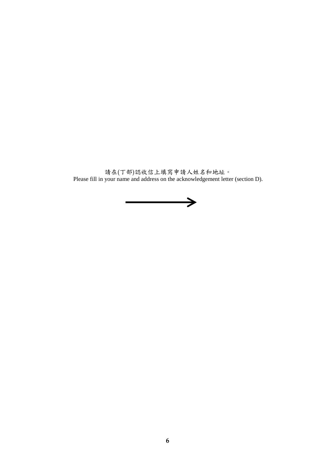請在(丁部)認收信上填寫申請人姓名和地址。 Please fill in your name and address on the acknowledgement letter (section D).